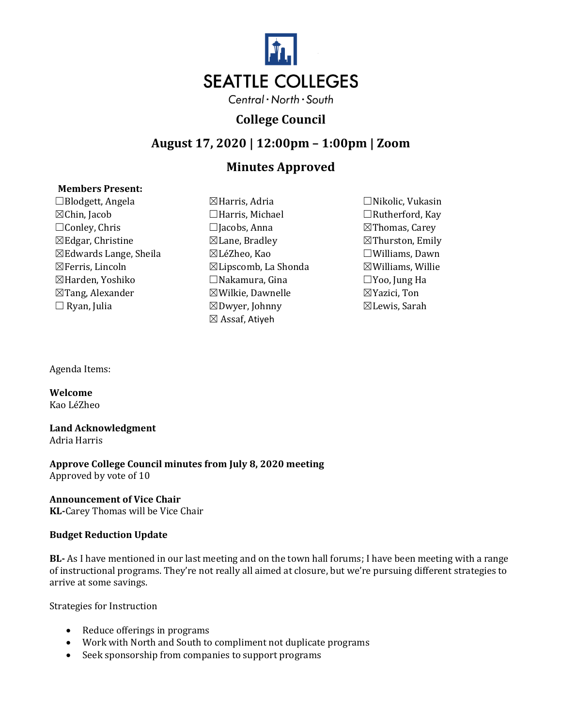

## **College Council**

### **August 17, 2020 | 12:00pm – 1:00pm | Zoom**

# **Minutes Approved**

### **Members Present:**

☐Blodgett, Angela ☒Harris, Adria ☐Nikolic, Vukasin ☒Chin, Jacob ☐Harris, Michael ☐Rutherford, Kay ☐Conley, Chris ☐Jacobs, Anna ☒Thomas, Carey  $\boxtimes$ Edgar, Christine  $\boxtimes$ Lane, Bradley  $\boxtimes$ Thurston, Emily ☒Edwards Lange, Sheila ☒LéZheo, Kao ☐Williams, Dawn  $\boxtimes$ Ferris, Lincoln  $\boxtimes$ Lipscomb, La Shonda  $\boxtimes$ Williams, Willie ☒Harden, Yoshiko ☐Nakamura, Gina ☐Yoo, Jung Ha  $\boxtimes$ Tang, Alexander  $\boxtimes$ Wilkie, Dawnelle  $\boxtimes$ Yazici, Ton ☐ Ryan, Julia ☒Dwyer, Johnny ☒Lewis, Sarah

- ☒ Assaf, Atiyeh
- 

Agenda Items:

**Welcome** Kao LéZheo

# **Land Acknowledgment**

Adria Harris

**Approve College Council minutes from July 8, 2020 meeting** Approved by vote of 10

### **Announcement of Vice Chair**

**KL-**Carey Thomas will be Vice Chair

### **Budget Reduction Update**

**BL-** As I have mentioned in our last meeting and on the town hall forums; I have been meeting with a range of instructional programs. They're not really all aimed at closure, but we're pursuing different strategies to arrive at some savings.

Strategies for Instruction

- Reduce offerings in programs
- Work with North and South to compliment not duplicate programs
- Seek sponsorship from companies to support programs